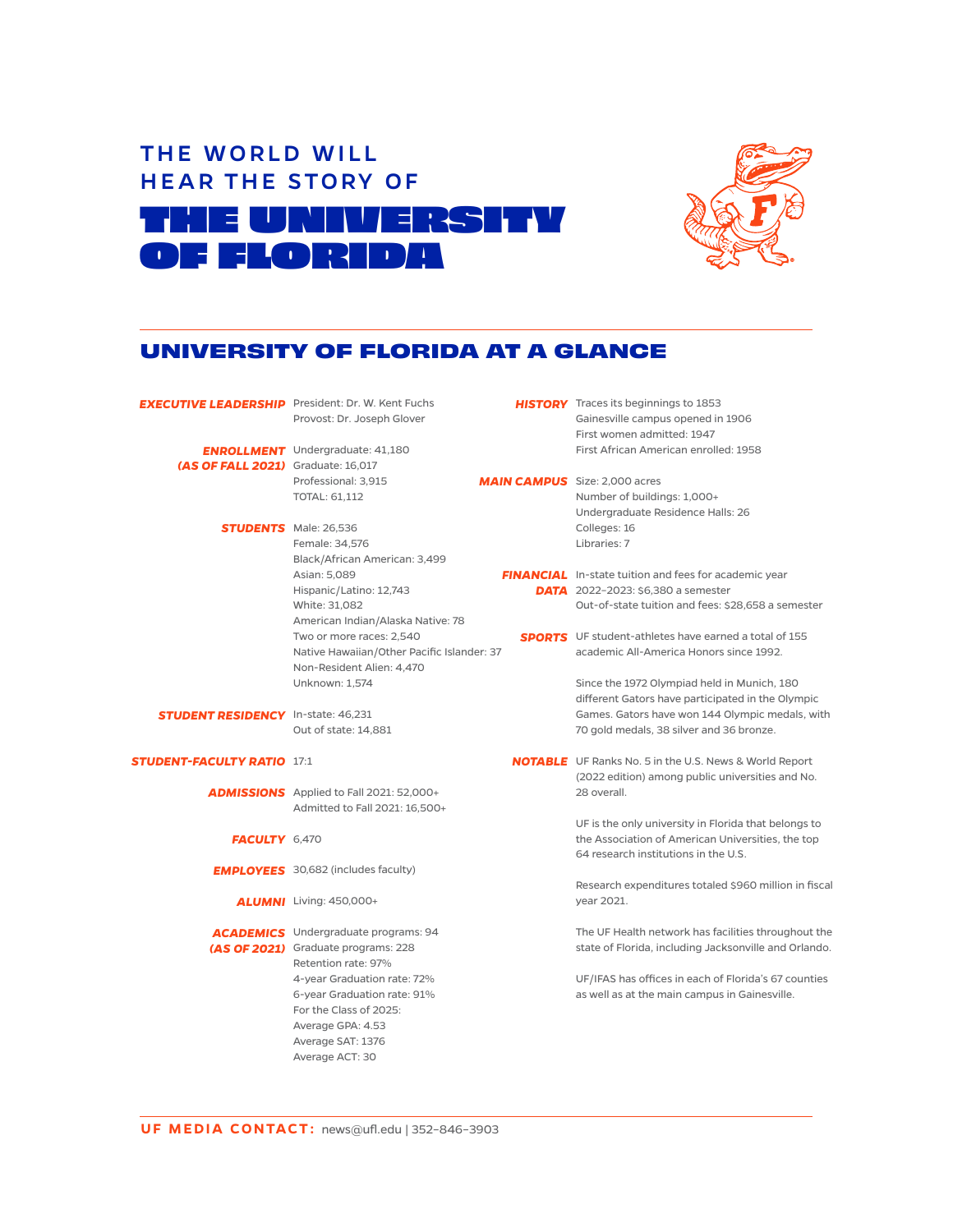



## **UNIVERSITY OF FLORIDA AT A GLANCE**

| <b>EXECUTIVE LEADERSHIP</b> President: Dr. W. Kent Fuchs |                                                 |                                      | <b>HISTORY</b> Traces its beginnings to 1853                  |
|----------------------------------------------------------|-------------------------------------------------|--------------------------------------|---------------------------------------------------------------|
|                                                          | Provost: Dr. Joseph Glover                      |                                      | Gainesville campus opened in 1906                             |
|                                                          |                                                 |                                      | First women admitted: 1947                                    |
|                                                          | <b>ENROLLMENT</b> Undergraduate: 41,180         |                                      | First African American enrolled: 1958                         |
| (AS OF FALL 2021) Graduate: 16,017                       |                                                 |                                      |                                                               |
|                                                          | Professional: 3,915                             | <b>MAIN CAMPUS</b> Size: 2,000 acres |                                                               |
|                                                          | TOTAL: 61,112                                   |                                      | Number of buildings: 1,000+                                   |
|                                                          |                                                 |                                      | Undergraduate Residence Halls: 26                             |
|                                                          | <b>STUDENTS</b> Male: 26,536                    |                                      | Colleges: 16                                                  |
|                                                          | Female: 34,576                                  |                                      | Libraries: 7                                                  |
|                                                          | Black/African American: 3,499                   |                                      |                                                               |
|                                                          | Asian: 5,089                                    |                                      | <b>FINANCIAL</b> In-state tuition and fees for academic year  |
|                                                          | Hispanic/Latino: 12,743                         |                                      | <b>DATA</b> 2022-2023: \$6,380 a semester                     |
|                                                          | White: 31,082                                   |                                      | Out-of-state tuition and fees: \$28,658 a semester            |
|                                                          | American Indian/Alaska Native: 78               |                                      |                                                               |
|                                                          | Two or more races: 2,540                        |                                      | <b>SPORTS</b> UF student-athletes have earned a total of 155  |
|                                                          | Native Hawaiian/Other Pacific Islander: 37      |                                      | academic All-America Honors since 1992.                       |
|                                                          | Non-Resident Alien: 4,470                       |                                      |                                                               |
|                                                          | Unknown: 1,574                                  |                                      | Since the 1972 Olympiad held in Munich, 180                   |
|                                                          |                                                 |                                      | different Gators have participated in the Olympic             |
| <b>STUDENT RESIDENCY</b> In-state: 46,231                |                                                 |                                      | Games. Gators have won 144 Olympic medals, with               |
|                                                          | Out of state: 14,881                            |                                      | 70 gold medals, 38 silver and 36 bronze.                      |
| <b>STUDENT-FACULTY RATIO 17:1</b>                        |                                                 |                                      | <b>NOTABLE</b> UF Ranks No. 5 in the U.S. News & World Report |
|                                                          |                                                 |                                      | (2022 edition) among public universities and No.              |
|                                                          | <b>ADMISSIONS</b> Applied to Fall 2021: 52,000+ |                                      | 28 overall.                                                   |
|                                                          | Admitted to Fall 2021: 16,500+                  |                                      |                                                               |
|                                                          |                                                 |                                      | UF is the only university in Florida that belongs to          |
| FACULTY 6,470                                            |                                                 |                                      | the Association of American Universities, the top             |
|                                                          |                                                 |                                      | 64 research institutions in the U.S.                          |
|                                                          | <b>EMPLOYEES</b> 30,682 (includes faculty)      |                                      |                                                               |
|                                                          |                                                 |                                      | Research expenditures totaled \$960 million in fiscal         |
|                                                          | <b>ALUMNI</b> Living: 450,000+                  |                                      | year 2021.                                                    |
|                                                          | <b>ACADEMICS</b> Undergraduate programs: 94     |                                      | The UF Health network has facilities throughout the           |
|                                                          | (AS OF 2021) Graduate programs: 228             |                                      | state of Florida, including Jacksonville and Orlando.         |
|                                                          | Retention rate: 97%                             |                                      |                                                               |
|                                                          | 4-year Graduation rate: 72%                     |                                      | UF/IFAS has offices in each of Florida's 67 counties          |
|                                                          | 6-year Graduation rate: 91%                     |                                      | as well as at the main campus in Gainesville.                 |
|                                                          | For the Class of 2025:                          |                                      |                                                               |
|                                                          | Average GPA: 4.53                               |                                      |                                                               |
|                                                          | Average SAT: 1376                               |                                      |                                                               |
|                                                          | Average ACT: 30                                 |                                      |                                                               |